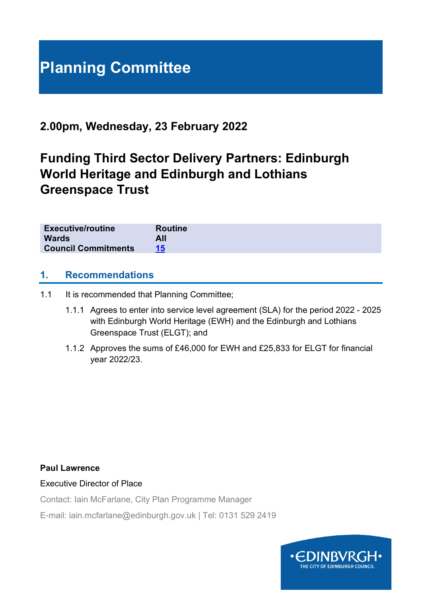# **Planning Committee**

# **2.00pm, Wednesday, 23 February 2022**

# **Funding Third Sector Delivery Partners: Edinburgh World Heritage and Edinburgh and Lothians Greenspace Trust**

| <b>Executive/routine</b>   | <b>Routine</b> |
|----------------------------|----------------|
| <b>Wards</b><br>All        |                |
| <b>Council Commitments</b> |                |

#### **1. Recommendations**

- 1.1 It is recommended that Planning Committee;
	- 1.1.1 Agrees to enter into service level agreement (SLA) for the period 2022 2025 with Edinburgh World Heritage (EWH) and the Edinburgh and Lothians Greenspace Trust (ELGT); and
	- 1.1.2 Approves the sums of £46,000 for EWH and £25,833 for ELGT for financial year 2022/23.

#### **Paul Lawrence**

Executive Director of Place

Contact: Iain McFarlane, City Plan Programme Manager

E-mail: iain.mcfarlane@edinburgh.gov.uk | Tel: 0131 529 2419

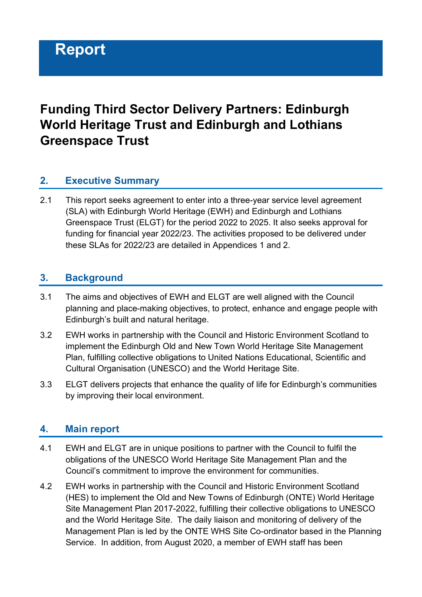# **Funding Third Sector Delivery Partners: Edinburgh World Heritage Trust and Edinburgh and Lothians Greenspace Trust**

### **2. Executive Summary**

2.1 This report seeks agreement to enter into a three-year service level agreement (SLA) with Edinburgh World Heritage (EWH) and Edinburgh and Lothians Greenspace Trust (ELGT) for the period 2022 to 2025. It also seeks approval for funding for financial year 2022/23. The activities proposed to be delivered under these SLAs for 2022/23 are detailed in Appendices 1 and 2.

#### **3. Background**

- 3.1 The aims and objectives of EWH and ELGT are well aligned with the Council planning and place-making objectives, to protect, enhance and engage people with Edinburgh's built and natural heritage.
- 3.2 EWH works in partnership with the Council and Historic Environment Scotland to implement the Edinburgh Old and New Town World Heritage Site Management Plan, fulfilling collective obligations to United Nations Educational, Scientific and Cultural Organisation (UNESCO) and the World Heritage Site.
- 3.3 ELGT delivers projects that enhance the quality of life for Edinburgh's communities by improving their local environment.

#### **4. Main report**

- 4.1 EWH and ELGT are in unique positions to partner with the Council to fulfil the obligations of the UNESCO World Heritage Site Management Plan and the Council's commitment to improve the environment for communities.
- 4.2 EWH works in partnership with the Council and Historic Environment Scotland (HES) to implement the Old and New Towns of Edinburgh (ONTE) World Heritage Site Management Plan 2017-2022, fulfilling their collective obligations to UNESCO and the World Heritage Site. The daily liaison and monitoring of delivery of the Management Plan is led by the ONTE WHS Site Co-ordinator based in the Planning Service. In addition, from August 2020, a member of EWH staff has been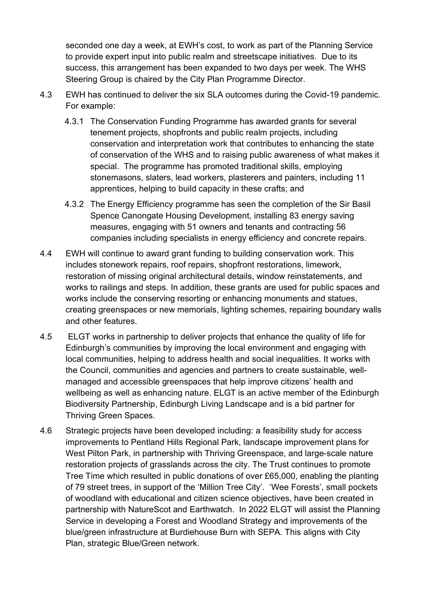seconded one day a week, at EWH's cost, to work as part of the Planning Service to provide expert input into public realm and streetscape initiatives. Due to its success, this arrangement has been expanded to two days per week. The WHS Steering Group is chaired by the City Plan Programme Director.

- 4.3 EWH has continued to deliver the six SLA outcomes during the Covid-19 pandemic. For example:
	- 4.3.1 The Conservation Funding Programme has awarded grants for several tenement projects, shopfronts and public realm projects, including conservation and interpretation work that contributes to enhancing the state of conservation of the WHS and to raising public awareness of what makes it special. The programme has promoted traditional skills, employing stonemasons, slaters, lead workers, plasterers and painters, including 11 apprentices, helping to build capacity in these crafts; and
	- 4.3.2 The Energy Efficiency programme has seen the completion of the Sir Basil Spence Canongate Housing Development, installing 83 energy saving measures, engaging with 51 owners and tenants and contracting 56 companies including specialists in energy efficiency and concrete repairs.
- 4.4 EWH will continue to award grant funding to building conservation work. This includes stonework repairs, roof repairs, shopfront restorations, limework, restoration of missing original architectural details, window reinstatements, and works to railings and steps. In addition, these grants are used for public spaces and works include the conserving resorting or enhancing monuments and statues, creating greenspaces or new memorials, lighting schemes, repairing boundary walls and other features.
- 4.5 ELGT works in partnership to deliver projects that enhance the quality of life for Edinburgh's communities by improving the local environment and engaging with local communities, helping to address health and social inequalities. It works with the Council, communities and agencies and partners to create sustainable, wellmanaged and accessible greenspaces that help improve citizens' health and wellbeing as well as enhancing nature. ELGT is an active member of the Edinburgh Biodiversity Partnership, Edinburgh Living Landscape and is a bid partner for Thriving Green Spaces.
- 4.6 Strategic projects have been developed including: a feasibility study for access improvements to Pentland Hills Regional Park, landscape improvement plans for West Pilton Park, in partnership with Thriving Greenspace, and large-scale nature restoration projects of grasslands across the city. The Trust continues to promote Tree Time which resulted in public donations of over £65,000, enabling the planting of 79 street trees, in support of the 'Million Tree City'. 'Wee Forests', small pockets of woodland with educational and citizen science objectives, have been created in partnership with NatureScot and Earthwatch. In 2022 ELGT will assist the Planning Service in developing a Forest and Woodland Strategy and improvements of the blue/green infrastructure at Burdiehouse Burn with SEPA. This aligns with City Plan, strategic Blue/Green network.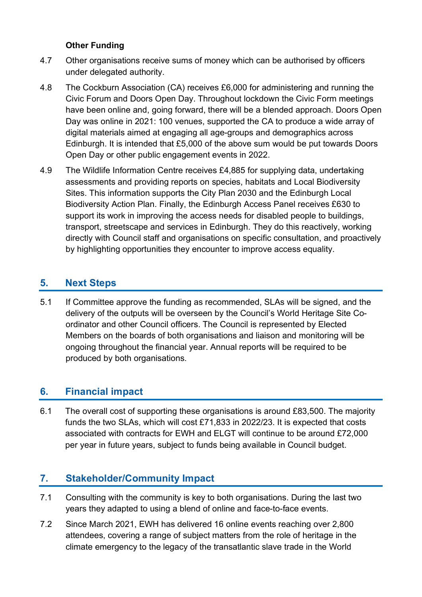#### **Other Funding**

- 4.7 Other organisations receive sums of money which can be authorised by officers under delegated authority.
- 4.8 The Cockburn Association (CA) receives £6,000 for administering and running the Civic Forum and Doors Open Day. Throughout lockdown the Civic Form meetings have been online and, going forward, there will be a blended approach. Doors Open Day was online in 2021: 100 venues, supported the CA to produce a wide array of digital materials aimed at engaging all age-groups and demographics across Edinburgh. It is intended that £5,000 of the above sum would be put towards Doors Open Day or other public engagement events in 2022.
- 4.9 The Wildlife Information Centre receives £4,885 for supplying data, undertaking assessments and providing reports on species, habitats and Local Biodiversity Sites. This information supports the City Plan 2030 and the Edinburgh Local Biodiversity Action Plan. Finally, the Edinburgh Access Panel receives £630 to support its work in improving the access needs for disabled people to buildings, transport, streetscape and services in Edinburgh. They do this reactively, working directly with Council staff and organisations on specific consultation, and proactively by highlighting opportunities they encounter to improve access equality.

# **5. Next Steps**

5.1 If Committee approve the funding as recommended, SLAs will be signed, and the delivery of the outputs will be overseen by the Council's World Heritage Site Coordinator and other Council officers. The Council is represented by Elected Members on the boards of both organisations and liaison and monitoring will be ongoing throughout the financial year. Annual reports will be required to be produced by both organisations.

## **6. Financial impact**

6.1 The overall cost of supporting these organisations is around £83,500. The majority funds the two SLAs, which will cost £71,833 in 2022/23. It is expected that costs associated with contracts for EWH and ELGT will continue to be around £72,000 per year in future years, subject to funds being available in Council budget.

## **7. Stakeholder/Community Impact**

- 7.1 Consulting with the community is key to both organisations. During the last two years they adapted to using a blend of online and face-to-face events.
- 7.2 Since March 2021, EWH has delivered 16 online events reaching over 2,800 attendees, covering a range of subject matters from the role of heritage in the climate emergency to the legacy of the transatlantic slave trade in the World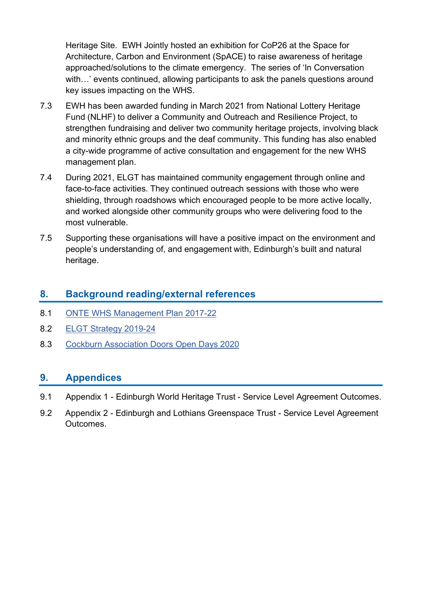Heritage Site. EWH Jointly hosted an exhibition for CoP26 at the Space for Architecture, Carbon and Environment (SpACE) to raise awareness of heritage approached/solutions to the climate emergency. The series of 'In Conversation with…' events continued, allowing participants to ask the panels questions around key issues impacting on the WHS.

- 7.3 EWH has been awarded funding in March 2021 from National Lottery Heritage Fund (NLHF) to deliver a Community and Outreach and Resilience Project, to strengthen fundraising and deliver two community heritage projects, involving black and minority ethnic groups and the deaf community. This funding has also enabled a city-wide programme of active consultation and engagement for the new WHS management plan.
- 7.4 During 2021, ELGT has maintained community engagement through online and face-to-face activities. They continued outreach sessions with those who were shielding, through roadshows which encouraged people to be more active locally, and worked alongside other community groups who were delivering food to the most vulnerable.
- 7.5 Supporting these organisations will have a positive impact on the environment and people's understanding of, and engagement with, Edinburgh's built and natural heritage.

#### **8. Background reading/external references**

- 8.1 [ONTE WHS Management Plan 2017-22](https://ewh.org.uk/plan/)
- 8.2 [ELGT Strategy 2019-24](http://www.elgt.org.uk/about-us/publications/)
- 8.3 [Cockburn Association Doors Open Days 2020](https://www.cockburnassociation.org.uk/doorsopendays/)

#### **9. Appendices**

- 9.1 Appendix 1 Edinburgh World Heritage Trust Service Level Agreement Outcomes.
- 9.2 Appendix 2 Edinburgh and Lothians Greenspace Trust Service Level Agreement **Outcomes**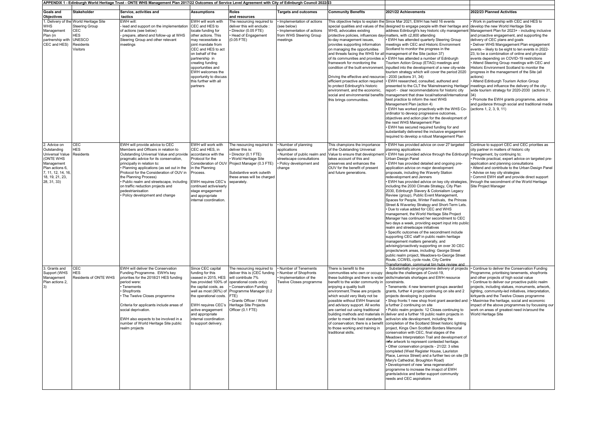|                                                                                                                                                      |                                                                                                                                | APPENDIX 1 - Edinburgh World Heritage Trust - ONTE WHS Management Plan 2017/22 Outcomes of Service Level Agreement with City of Edinburgh Council 2022/23                                                                                                                                                                                                                                                                                        |                                                                                                                                                                                                                                                                                                                     |                                                                                                                                                                                                                                                        |                                                                                                                                     |                                                                                                                                                                                                                                                                                                                                                                                                                                                    |                                                                                                                                                                                                                                                                                                                                                                                                                                                                                                                                                                                                                                                                                                                                                                                                                                                                                                                                                                                                                                                                                                                                                                                                                                                                                                                                                               |                                                                                                                                                                                                                                                                                                                                                                                                                                                                                                                                                                                                                                                                                                                                                                                                                                                              |
|------------------------------------------------------------------------------------------------------------------------------------------------------|--------------------------------------------------------------------------------------------------------------------------------|--------------------------------------------------------------------------------------------------------------------------------------------------------------------------------------------------------------------------------------------------------------------------------------------------------------------------------------------------------------------------------------------------------------------------------------------------|---------------------------------------------------------------------------------------------------------------------------------------------------------------------------------------------------------------------------------------------------------------------------------------------------------------------|--------------------------------------------------------------------------------------------------------------------------------------------------------------------------------------------------------------------------------------------------------|-------------------------------------------------------------------------------------------------------------------------------------|----------------------------------------------------------------------------------------------------------------------------------------------------------------------------------------------------------------------------------------------------------------------------------------------------------------------------------------------------------------------------------------------------------------------------------------------------|---------------------------------------------------------------------------------------------------------------------------------------------------------------------------------------------------------------------------------------------------------------------------------------------------------------------------------------------------------------------------------------------------------------------------------------------------------------------------------------------------------------------------------------------------------------------------------------------------------------------------------------------------------------------------------------------------------------------------------------------------------------------------------------------------------------------------------------------------------------------------------------------------------------------------------------------------------------------------------------------------------------------------------------------------------------------------------------------------------------------------------------------------------------------------------------------------------------------------------------------------------------------------------------------------------------------------------------------------------------|--------------------------------------------------------------------------------------------------------------------------------------------------------------------------------------------------------------------------------------------------------------------------------------------------------------------------------------------------------------------------------------------------------------------------------------------------------------------------------------------------------------------------------------------------------------------------------------------------------------------------------------------------------------------------------------------------------------------------------------------------------------------------------------------------------------------------------------------------------------|
| <b>Goals and</b><br><b>Objectives</b>                                                                                                                | <b>Stakeholder</b>                                                                                                             | Service, activities and<br>tactics                                                                                                                                                                                                                                                                                                                                                                                                               | <b>Assumptions</b>                                                                                                                                                                                                                                                                                                  | Roles<br>and resources                                                                                                                                                                                                                                 | <b>Targets and outcomes</b>                                                                                                         | <b>Community Benefits</b>                                                                                                                                                                                                                                                                                                                                                                                                                          | 2021/22 Achievements                                                                                                                                                                                                                                                                                                                                                                                                                                                                                                                                                                                                                                                                                                                                                                                                                                                                                                                                                                                                                                                                                                                                                                                                                                                                                                                                          | 2022/23 Planned Activities                                                                                                                                                                                                                                                                                                                                                                                                                                                                                                                                                                                                                                                                                                                                                                                                                                   |
| <b>WHS</b><br>Management<br>Plan (in<br>partnership with<br>CEC and HES)                                                                             | 1. Delivery of the World Heritage Site<br><b>Steering Group</b><br>CEC<br>HES<br><b>UNESCO</b><br>Residents<br><b>Visitors</b> | EWH will<br>lead and support on the implementation<br>of actions (see below)<br>prepare, attend and follow-up at WHS<br>Steering Group and other relevant<br>meetings                                                                                                                                                                                                                                                                            | EWH will work with<br>CEC and HES to<br>ocate funding for<br>other actions. This<br>may necessitate a<br>joint mandate from<br>CEC and HES to act<br>on behalf of the<br>partnership in<br>creating funding<br>opportunities and<br>EWH welcomes the<br>opportunity to discuss<br>this further with all<br>partners | The resourcing required to<br>: deliver this will enclude<br>Director (0.05 FTE)<br>Head of Engagement<br>$(0.05$ FTE)                                                                                                                                 | Implementation of actions<br>see below)<br>Implementation of actions<br>from WHS Steering Group<br>meetings                         | WHS, advocates existing<br>protective policies, influences day-matters, with c2,800 attending<br>to-day management issues,<br>provides supporting information<br>on managing the opportunities<br>framework for monitoring the<br>Driving the effective and resource-<br>efficient proactive action required<br>to protect Edinburgh's historic<br>environment, and the economic,<br>social and environmental benefits<br>this brings communities. | This objective helps to explain the Since Mar 2021, EWH has held 16 events<br>special qualities and values of the designed to engage people with their heritage and<br>address Edinburgh's key historic city management<br>EWH has attended quarterly Steering Group<br>meetings with CEC and Historic Environment<br>Scotland to monitor the progress in the<br>and threats facing the WHS for all management of the Site (action 37)<br>of its communities and provides a • EWH has attended a number of Edinburgh<br>Tourism Action Group (ETAG) meetings and<br>condition of the built environment. inputted into the development of a new city-wide<br>tourism strategy which will cover the period 2020<br>- 2030 (actions 31, 34)<br>· EWH researched, consulted, authored and<br>presented to the CLT the 'Mainstreaming Heritage<br>report - clear recommendations for historic city<br>management that draw local/national/international<br>best practice to inform the next WHS<br>Management Plan (action 4)<br>. EWH has worked proactively with the WHS Co-<br>ordinator to deveop progressive outcomes,<br>objectives and action plan for the development of<br>the next WHS Management Plan<br>• EWH has secured required funding for and<br>substantially delivered the inclusive engagement<br>required to develop a robust Management Plan | Work in partnership with CEC and HES to<br>develop the new World Heritage Site<br>Management Plan for 2023+ - including inclusive<br>and proactive engagement, and supporting the<br>delivery of CEC plans and goals<br>Deliver WHS Mangagement Plan engagement<br>events - likely to be eight to ten events in 2022-<br>23, to be a combination of online and physical<br>events depending on COVID-19 restrictions<br>Attend Steering Group meetings with CEC and<br>Historic Environment Scotland to monitor the<br>progress in the management of the Site (all<br>actions)<br>Attend Edinburgh Tourism Action Group<br>meetings and influence the delivery of the city-<br>wide tourism strategy for 2020-2030 (actions 31,<br>Promote the EWH grants programme, advice<br>and guidance through social and traditional media<br>(actions 1, 2, 3, 9, 11) |
| 2. Advice on<br>Outstanding<br>Universal Value<br>(ONTE WHS<br>Management<br>Plan actions 6,<br>7, 11, 12, 14, 16,<br>18, 19, 21, 23,<br>28, 31, 33) | CEC<br><b>HES</b><br>Residents                                                                                                 | EWH will provide advice to CEC<br>Members and Officers in relation to<br>Outstanding Universal Value and provide<br>pragmatic advice for its conservation,<br>principally in relation to:<br>Planning applications (as set out in the<br>Protocol for the Consideration of OUV in<br>the Planning Process)<br>Public realm and streetscape, including<br>on traffic reduction projects and<br>pedestrianisation<br>Policy development and change | EWH will work with<br>CEC and HES, in<br>accordance with the<br>Protocol for the<br>Consideration of OU\<br>in the Planning<br>Process.<br><b>EWH requires CEC's</b><br>continued active/early<br>stage engagement<br>and appropriate<br>nternal coordination.                                                      | The resourcing required to<br>deliver this is:<br>Director (0.1 FTE)<br>World Heritage Site<br>Project Manager (0.3 FTE)<br>Substantive work outwith<br>hese areas will be charged<br>separately.                                                      | Number of planning<br>applications<br>Number of public realm and<br>streetscape consultations<br>· Policy development and<br>change | This champions the importance<br>of the Outstanding Universal<br>Value to ensure that development<br>takes account of this and<br>preserves and enhances the<br>OUV for the benefit of present<br>and future generations.                                                                                                                                                                                                                          | · EWH has provided advice on over 27 targeted<br>planning applications<br>EWH has provided advice through the Edinburgh<br>Urban Design Panel<br>EWH has provided detailed and ongoing pre-<br>application advice on major development<br>proposals, including the Waverly Station<br>redevelopment and Jenners<br>EWH has provided advice on key city strategies<br>including the 2030 Climate Strategy, City Plan<br>2030, Edinburgh Slavery & Colonialism Legacy<br>Review (group), Public Event Management,<br>Spaces for People, Winter Festivals, the Princes<br>Street & Waverley Strategy and Short-Term Lets.<br>Due to value added for CEC and WHS<br>management, the World Heritage Site Project<br>Manager has continued her secondment to CEC<br>two days a week, providing expert input into public<br>realm and streetscape initiatives<br>· Specific outcomes of the secondment include<br>supporting CEC staff in public realm heritage<br>management matters generally, and<br>advising/proactively supporting on over 30 CEC<br>projects/work areas, including: George Street<br>public realm project, Meadows-to-George Street<br>Route, CCWEL cycle route, City Centre<br>Transformation, communal bin hubs review and                                                                                                                   | Continue to support CEC and CEC priorities as<br>city partner in matters of historic city<br>management, by continuing to;<br>Provide practical, expert advice on targeted pre-<br>application and planning consultations<br>Attend and contribute to the Urban Design Panel<br>Advise on key city strategies<br>Commit EWH staff and provide direct support<br>through the secondment of the World Heritage<br>Site Project Manager                                                                                                                                                                                                                                                                                                                                                                                                                         |
| 3. Grants and<br>Support (WHS<br>Management<br>Plan actions 2,<br>$\vert 3)$                                                                         | CEC<br>HES<br>Residents of ONTE WHS                                                                                            | EWH will deliver the Conservation<br>Funding Programme. EWH's key<br>priorities for the 2018/21 HES funding<br>period were:<br>Tenements<br>Shopfronts<br>The Twelve Closes programme<br>Criteria for applicants include areas of<br>social deprivation.<br>EWH also expects to be involved in a<br>number of World Heritage Site public<br>realm projects                                                                                       | Since CEC capital<br>funding for this<br>ceased in 2015. HES<br>has provided 100% of<br>the capital costs, as<br>well as most (90%) of<br>the operational costs.<br><b>EWH requires CEC's</b><br>active engagement<br>and appropriate<br>internal coordination<br>to support delivery.                              | The resourcing required to<br>deliver this is (CEC funding<br>will contribute 7%<br>operational costs only):<br><b>Conservation Funding</b><br>Programme Manager (0.2<br>FTE)<br>Grants Officer / World<br>Heritage Site Projects<br>Officer (0.1 FTE) | Number of Tenements<br>Number of Shopfronts<br>Implementation of the<br>Twelve Closes programme                                     | There is benefit to the<br>communities who own or occupy<br>these buildings and there is wider<br>benefit to the wider community in<br>enjoying a quality built<br>environment. These are projects<br>which would very likely not be<br>possible without EWH financial<br>and advisory support. All works<br>are carried out using traditional<br>to those working and training in<br>traditional skills.                                          | Substantially on-programme delivery of projects<br>despite the challenges of Covid-19,<br>skills/materials shortages and EWH resource<br>constraints.<br>Tenements: 4 new tenement groups awarded<br>grants, further 4 project continuing on site and 2<br>projects developing in pipeline<br>Shop fronts:1 new shop front grant awarded and<br>a further 2 continuing on site<br>· Public realm projects: 12 Closes continuing to<br>building methods and materials in deliver and a further 18 public realm projects in<br>order to meet the best standards active/on site development, including the<br>of conservation; there is a benefit completion of the Scotland Street historic lighting<br>project, Kings Own Scottish Borders Memorial<br>conservation with CEC, final stages of the<br>Meadows Interpretation Trail and development of<br>new artwork to represent contested heritage.<br>Other conservation projects - 21/22: 3 sites<br>completed (West Register House, Lauriston<br>Place, Lennox Street) and a further two on site (St<br>Mary's Cathedral, Broughton Road)<br>· Development of new 'area regeneration'<br>programme to increase the imapct of EWH<br>grants/advice and better support community<br>needs and CEC aspirations                                                                                                | Continue to deliver the Conservation Funding<br>Programme, prioritising tenements, shopfronts<br>and other projects of high social value<br>Continue to deliver our proactive public realm<br>projects, including statues, monuments, artwork,<br>lighting, community-led initiatives, interpretation,<br>kirkyards and the Twelve Closes programme<br>Maximise the heritage, social and economic<br>impact of the above programmes by focussing our<br>work on areas of greatest need in/around the<br>World Heritage Site                                                                                                                                                                                                                                                                                                                                  |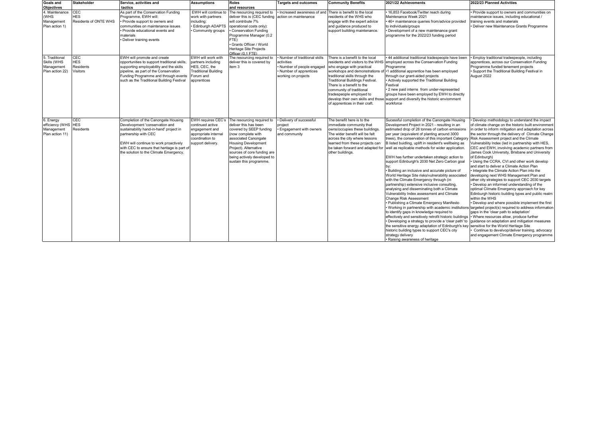| <b>Goals and</b><br><b>Objectives</b>                          | <b>Stakeholder</b>                         | Service, activities and<br>tactics                                                                                                                                                                                                                                         | <b>Assumptions</b>                                                                                                              | <b>Roles</b><br>and resources                                                                                                                                                                                                                                                | <b>Targets and outcomes</b>                                                                                            | <b>Community Benefits</b>                                                                                                                                                                                                                                                                                                                                                     | 2021/22 Achievements                                                                                                                                                                                                                                                                                                                                                                                                                                                                                                                                                                                                                                                                                                                                                                                                                                                                                                                                                                                                                                                                                                                                                                                                                                          | 2022/23 Planned Activities                                                                                                                                                                                                                                                                                                                                                                                                                                                                                                                                                                                                                                                                                                                                                                                                                                                                                                                                                                                                                                                                                                                                                                                      |
|----------------------------------------------------------------|--------------------------------------------|----------------------------------------------------------------------------------------------------------------------------------------------------------------------------------------------------------------------------------------------------------------------------|---------------------------------------------------------------------------------------------------------------------------------|------------------------------------------------------------------------------------------------------------------------------------------------------------------------------------------------------------------------------------------------------------------------------|------------------------------------------------------------------------------------------------------------------------|-------------------------------------------------------------------------------------------------------------------------------------------------------------------------------------------------------------------------------------------------------------------------------------------------------------------------------------------------------------------------------|---------------------------------------------------------------------------------------------------------------------------------------------------------------------------------------------------------------------------------------------------------------------------------------------------------------------------------------------------------------------------------------------------------------------------------------------------------------------------------------------------------------------------------------------------------------------------------------------------------------------------------------------------------------------------------------------------------------------------------------------------------------------------------------------------------------------------------------------------------------------------------------------------------------------------------------------------------------------------------------------------------------------------------------------------------------------------------------------------------------------------------------------------------------------------------------------------------------------------------------------------------------|-----------------------------------------------------------------------------------------------------------------------------------------------------------------------------------------------------------------------------------------------------------------------------------------------------------------------------------------------------------------------------------------------------------------------------------------------------------------------------------------------------------------------------------------------------------------------------------------------------------------------------------------------------------------------------------------------------------------------------------------------------------------------------------------------------------------------------------------------------------------------------------------------------------------------------------------------------------------------------------------------------------------------------------------------------------------------------------------------------------------------------------------------------------------------------------------------------------------|
| 4. Maintenance<br>(WHS<br>Management<br>Plan action 1)         | CEC<br><b>HES</b><br>Residents of ONTE WHS | As part of the Conservation Funding<br>Programme, EWH will:<br>Provide support to owners and<br>communities on maintenance issues<br>Provide educational events and<br>materials<br>Deliver training events                                                                | EWH will continue to<br>work with partners<br>including:<br>· Edinburgh ADAPTS<br>Community groups                              | The resourcing required to<br>deliver this is (CEC funding<br>will contribute 7%<br>operational costs only):<br>Conservation Funding<br>Programme Manager (0.2<br>FTE)<br>Grants Officer / World<br>Heritage Site Projects<br>Officer (0.1 FTE)                              | Increased awareness of an<br>action on maintenance                                                                     | There is benefit to the local<br>residents of the WHS who<br>engage with the expert advice<br>and guidance produced to<br>support building maintenance                                                                                                                                                                                                                        | 16,853 Facebook/Twitter reach during<br>Maintenance Week 2021<br>46+ maintenance queries from/advice provided<br>to individuals/groups<br>· Development of a new maintenance grant<br>programme for the 2022/23 funding period                                                                                                                                                                                                                                                                                                                                                                                                                                                                                                                                                                                                                                                                                                                                                                                                                                                                                                                                                                                                                                | Provide support to owners and communities on<br>maintenance issues, including educational /<br>training events and materials<br>Deliver new Maintenance Grants Programme                                                                                                                                                                                                                                                                                                                                                                                                                                                                                                                                                                                                                                                                                                                                                                                                                                                                                                                                                                                                                                        |
| 5. Traditional<br>Skills (WHS<br>Management<br>Plan action 22) | CEC<br><b>HES</b><br>Residents<br>Visitors | EWH will promote and create<br>opportunities to support traditional skills<br>supporting employability and the skills<br>pipeline, as part of the Conservation<br>Funding Programme and through events<br>such as the Traditional Building Festival                        | EWH will work with<br>partners including<br>HES, CEC, the<br><b>Traditional Building</b><br>Forum and<br>apprentices            | The resourcing required to<br>deliver this is covered by<br>item 3                                                                                                                                                                                                           | Number of traditional skills<br>activities<br>Number of people engaged<br>Number of apprentices<br>working on projects | There is a benefit to the local<br>residents and visitors to the WHS<br>who engage with practical<br>workshops and demonstrations of<br>traditional skills through the<br><b>Traditional Buildings Festival.</b><br>There is a benefit to the<br>community of traditional<br>tradespeople employed to<br>develop their own skills and those<br>of apprentices in their craft. | · 44 additional traditional tradespeople have been<br>employed across the Conservation Funding<br>Programme<br>•1 additional apprentice has been employed<br>through our grant-aided projects<br>Actively supported the Traditional Building<br>Festival<br>• 2 new paid interns from under-represented<br>groups have been employed by EWH to directly<br>support and diversify the historic enviornment<br>workforce                                                                                                                                                                                                                                                                                                                                                                                                                                                                                                                                                                                                                                                                                                                                                                                                                                        | Employ traditional tradespeople, including<br>apprentices, across our Conservation Funding<br>Programme funded tenement projects<br>Support the Traditional Building Festival in<br>August 2022                                                                                                                                                                                                                                                                                                                                                                                                                                                                                                                                                                                                                                                                                                                                                                                                                                                                                                                                                                                                                 |
| 6. Energy<br>efficiency (WHS<br>Management<br>Plan action 11)  | CEC<br><b>HES</b><br>Residents             | Completion of the Canongate Housing<br>Develvopment 'conservation and<br>sustainability hand-in-hand' project in<br>partnership with CEC<br>EWH will continue to work proactively<br>with CEC to ensure that heritage is part of<br>the solution to the Climate Emergency. | <b>EWH requires CEC's</b><br>continued active<br>engagement and<br>appropriate internal<br>coordination to<br>support delivery. | The resourcing required to<br>deliver this has been<br>covered by SEEP funding<br>(now complete with<br>associated Canongate<br><b>Housing Development</b><br>Project). Alternative<br>sources of core funding are<br>being actively developed to<br>sustain this programme. | · Delivery of successful<br>project<br>· Engagement with owners<br>and community                                       | The benefit here is to the<br>immediate community that<br>owns/occupies these buildings<br>The wider benefit will be felt<br>across the city where lessons<br>learned from these projects can<br>be taken forward and adapted for<br>other buildings.                                                                                                                         | Sucessful completion of the Canongate Housing<br>Development Project in 2021 - resulting in an<br>estimated drop of 28 tonnes of carbon emissions<br>per year (equivalent of planting around 3000<br>trees), the conservation of this important Category<br>B listed buidling, uplift in resident's wellbeing as<br>well as replicable methods for wider application.<br>EWH has further undertaken strategic action to<br>support Edinburgh's 2030 Net Zero Carbon goal<br>· Building an inclusive and accurate picture of<br>World Heritage Site risks/vulnerability associated<br>with the Climate Emergency through (in<br>partnership) extensive inclusive consulting,<br>analysing and disseminating both a Climate<br>Vulnerability Index assessment and Climate<br>Change Risk Assessment<br>· Publishing a Climate Emergency Manifesto<br>to identify gaps in knowledge required to<br>effectively and sensitively retrofit historic buildings • Where resources allow, produce further<br>. Developing a strategy to provide a 'clear path' to<br>the sensitive energy adaptation of Edinburgh's key sensitive for the World Heritage Site<br>historic building types to support CEC's city<br>strategy delivery<br>· Raising awareness of heritage | Develop methodology to understand the impact<br>of climate change on the historic built environment<br>in order to inform mitigation and adaptation across<br>the sector through the delivery of Climate Change<br>Risk Assessment project and the Climate<br>Vulnerability Index (led in partnership with HES,<br>CEC and EWH, involving academic partners from<br>James Cook University, Brisbane and University<br>of Edinburgh)<br>Using the CCRA, CVI and other work develop<br>and start to deliver a Climate Action Plan<br>• Integrate the Climate Action Plan into the<br>developing next WHS Management Plan and<br>other city strategies to support CEC 2030 targets<br>• Develop an informed understanding of the<br>optimal Climate Emergency approach for key<br>Edinburgh historic building types and public realm<br>within the WHS<br>. Develop and where possible implement the first<br>. Working in partnership with academic institutions targeted project(s) required to address information<br>gaps in the 'clear path to adaptation'<br>guidance on adaptation and mitigation measures<br>Continue to develvop/deliver training, advocacy<br>and engagement Climate Emergency programme |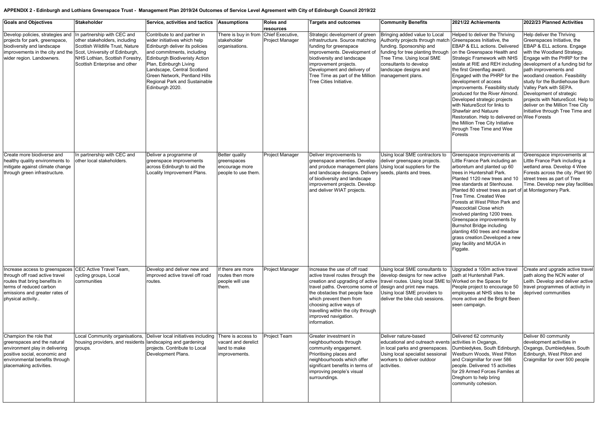#### **APPENDIX 2 - Edinburgh and Lothians Greenspace Trust - Management Plan 2019/24 Outcomes of Service Level Agreement with City of Edinburgh Council 2019/22**

| <b>Goals and Objectives</b>                                                                                                                                                                      | Stakeholder                                                                                                                                                         | Service, activities and tactics                                                                                                                                                                                                                                                                                    | <b>Assumptions</b>                                                            | <b>Roles and</b><br>resources       | <b>Targets and outcomes</b>                                                                                                                                                                                                                                                                                  | <b>Community Benefits</b>                                                                                                                                                                                                                                            | 2021/22 Achievments                                                                                                                                                                                                                                                                                                                                                                                                                                                                                                                                           | 2022/23 Planned Activities                                                                                                                                                                                                                                                                                                                                                                                                                                                                           |
|--------------------------------------------------------------------------------------------------------------------------------------------------------------------------------------------------|---------------------------------------------------------------------------------------------------------------------------------------------------------------------|--------------------------------------------------------------------------------------------------------------------------------------------------------------------------------------------------------------------------------------------------------------------------------------------------------------------|-------------------------------------------------------------------------------|-------------------------------------|--------------------------------------------------------------------------------------------------------------------------------------------------------------------------------------------------------------------------------------------------------------------------------------------------------------|----------------------------------------------------------------------------------------------------------------------------------------------------------------------------------------------------------------------------------------------------------------------|---------------------------------------------------------------------------------------------------------------------------------------------------------------------------------------------------------------------------------------------------------------------------------------------------------------------------------------------------------------------------------------------------------------------------------------------------------------------------------------------------------------------------------------------------------------|------------------------------------------------------------------------------------------------------------------------------------------------------------------------------------------------------------------------------------------------------------------------------------------------------------------------------------------------------------------------------------------------------------------------------------------------------------------------------------------------------|
| Develop policies, strategies and<br>projects for park, greenspace,<br>biodiversity and landscape<br>improvements in the city and the Scot, University of Edinburgh,<br>wider region. Landowners. | In partnership with CEC and<br>other stakeholders, including<br>Scottish Wildlife Trust, Nature<br>NHS Lothian, Scottish Forestry,<br>Scottish Enterprise and other | Contribute to and partner in<br>wider initiatives which help<br>Edinburgh deliver its policies<br>and commitments, including<br>Edinburgh Biodiveristy Action<br>Plan, Edinburgh Living<br>Landscape, Central Scotland<br><b>Green Network, Pentland Hills</b><br>Regional Park and Sustainable<br>Edinburgh 2020. | There is buy in from<br>stakeholder<br>organisations.                         | Chief Executive,<br>Project Manager | Strategic development of green<br>infrastructure. Source matching<br>funding for greenspace<br>improvements. Development of<br>biodiversity and landscape<br>improvement projects.<br>Development and delivery of<br>Tree Time as part of the Million<br>Tree Cities Initiative.                             | Bringing added value to Local<br>Authority projects through match Greenspaces Initiative, the<br>funding. Sponsorship and<br>funding for tree planting through<br>Tree Time. Using local SME<br>consultants to develop<br>landscape designs and<br>management plans. | Helped to deliver the Thriving<br>EBAP & ELL actions. Delivered<br>on the Greenspace Health and<br><b>Strategic Framework with NHS</b><br>the first Greenflag award.<br>Engaged with the PHRP for the<br>development of access<br>improvements. Feasibility study<br>produced for the River Almond.<br>Developed strategic projects<br>with NatureScot for links to<br>Shawfair and Natuure<br>Restoration. Help to delivered on Wee Forests<br>the Million Tree City Initiative<br>through Tree Time and Wee<br>Forests                                      | Help deliver the Thriving<br>Greenspaces Initiative, the<br><b>EBAP &amp; ELL actions. Engage</b><br>with the Woodland Strategy.<br>Engage with the PHRP for the<br>estate at RIE and REH including development of a funding bid for<br>path improvements and<br>woodland creation. Feasibility<br>study for the Burdiehouse Burn<br>Valley Park with SEPA.<br>Development of strategic<br>projects with NatureScot. Help to<br>deliver on the Million Tree City<br>Initiative through Tree Time and |
| Create more biodiverse and<br>healthy quality environments to<br>mitigate against climate change<br>through green infrastructure.                                                                | In partnership with CEC and<br>other local stakeholders.                                                                                                            | Deliver a programme of<br>greenspace improvements<br>across Edinburgh to aid the<br>Locality Improvement Plans.                                                                                                                                                                                                    | <b>Better quality</b><br>greenspaces<br>encourage more<br>people to use them. | Project Manager                     | Deliver improvements to<br>greenspace amenties. Develop<br>and produce management plans<br>and landscape designs. Delivery seeds, plants and trees.<br>of biodiversity and landscape<br>improvement projects. Develop<br>and deliver WIAT projects.                                                          | Using local SME contractors to<br>deliver greenspace projects.<br>Using local suppliers for the                                                                                                                                                                      | Greenspace improvements at<br>Little France Park including an<br>arboretum and planted up 60<br>trees in Huntershall Park.<br>Planted 1120 new trees and 10<br>tree standards at Stenhouse.<br>Planted 80 street trees as part of at Montegomery Park.<br>Tree Time. Created Wee<br>Forests at West Pilton Park and<br>Peacocktail Close which<br>involved planting 1200 trees.<br>Greenspace improvements by<br><b>Burnshot Bridge including</b><br>planting 450 trees and meadow<br>grass creation.Developed a new<br>play facility and MUGA in<br>Figgate. | Greenspace improvements at<br>Little France Park including a<br>wetland area. Develop 4 Wee<br>Forests across the city. Plant 90<br>street trees as part of Tree<br>Time. Develop new play facilities                                                                                                                                                                                                                                                                                                |
| Increase access to greenspaces<br>through off road active travel<br>routes that bring benefits in<br>terms of reduced carbon<br>emissions and greater rates of<br>physical activity              | CEC Active Travel Team,<br>cycling groups, Local<br>communities                                                                                                     | Develop and deliver new and<br>improved active travel off road<br>routes.                                                                                                                                                                                                                                          | If there are more<br>routes then more<br>people will use<br>them.             | Project Manager                     | Increase the use of off road<br>active travel routes through the<br>creation and upgrading of active<br>travel paths. Overcome some of<br>the obstacles that people face<br>which prevent them from<br>choosing active ways of<br>travelling within the city through<br>improved navigation.<br>information. | Using local SME consultants to<br>develop designs for new active<br>travel routes. Using local SME to Worked on the Spaces for<br>design and print new maps.<br>Using local SME providers to<br>deliver the bike club sessions.                                      | Upgraded a 100m active travel<br>path at Huntershall Park.<br>People project to encourage 50<br>employees at NHS sites to be<br>more active and Be Bright Been<br>seen campaign.                                                                                                                                                                                                                                                                                                                                                                              | Create and upgrade active travel<br>path along the NCN water of<br>Leith. Develop and deliver active<br>travel programmes of activity in<br>deprived communities                                                                                                                                                                                                                                                                                                                                     |
| Champion the role that<br>greenspaces and the natural<br>environment play in delivering<br>positive social, economic and<br>environmental benefits through<br>placemaking activities.            | housing providers, and residents landscaping and gardening<br>groups.                                                                                               | Local Community organisations, Deliver local initiatives including<br>projects. Contribute to Local<br>Development Plans.                                                                                                                                                                                          | There is access to<br>vacant and derelict<br>land to make<br>improvements.    | Project Team                        | Greater investment in<br>neighbourhoods through<br>community engagement.<br>Prioritising places and<br>neighbourhoods which offer<br>significant benefits in terms of<br>improving people's visual<br>surroundings.                                                                                          | Deliver nature-based<br>educational and outreach events activities in Oxgangs,<br>in local parks and greenspaces.<br>Using local specialist sessional<br>workers to deliver outdoor<br>activities.                                                                   | Delivered 62 community<br>Dumbiedykes, South Edinburgh<br>Westburn Woods, West Pilton<br>and Craigmillar for over 586<br>people. Delivered 15 activities<br>for 29 Armed Forces Familes at<br>Dreghorn to help bring<br>community cohesion.                                                                                                                                                                                                                                                                                                                   | Deliver 80 community<br>development activities in<br>Oxgangs, Dumbiedykes, South<br>Edinburgh, West Pilton and<br>Craigmillar for over 500 people                                                                                                                                                                                                                                                                                                                                                    |